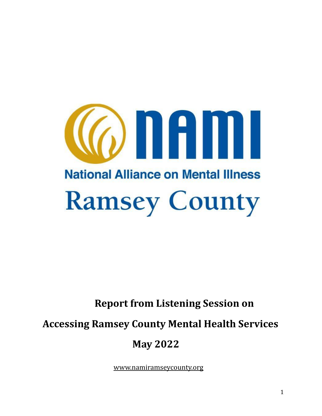

# **Report from Listening Session on**

**Accessing Ramsey County Mental Health Services**

# **May 2022**

[www.namiramseycounty.org](http://www.namiramseycounty.org/)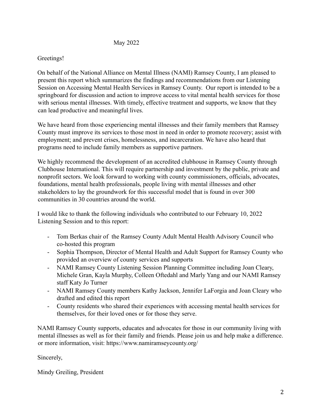#### May 2022

#### Greetings!

On behalf of the National Alliance on Mental Illness (NAMI) Ramsey County, I am pleased to present this report which summarizes the findings and recommendations from our Listening Session on Accessing Mental Health Services in Ramsey County. Our report is intended to be a springboard for discussion and action to improve access to vital mental health services for those with serious mental illnesses. With timely, effective treatment and supports, we know that they can lead productive and meaningful lives.

We have heard from those experiencing mental illnesses and their family members that Ramsey County must improve its services to those most in need in order to promote recovery; assist with employment; and prevent crises, homelessness, and incarceration. We have also heard that programs need to include family members as supportive partners.

We highly recommend the development of an accredited clubhouse in Ramsey County through Clubhouse International. This will require partnership and investment by the public, private and nonprofit sectors. We look forward to working with county commissioners, officials, advocates, foundations, mental health professionals, people living with mental illnesses and other stakeholders to lay the groundwork for this successful model that is found in over 300 communities in 30 countries around the world.

I would like to thank the following individuals who contributed to our February 10, 2022 Listening Session and to this report:

- Tom Berkas chair of the Ramsey County Adult Mental Health Advisory Council who co-hosted this program
- Sophia Thompson, Director of Mental Health and Adult Support for Ramsey County who provided an overview of county services and supports
- NAMI Ramsey County Listening Session Planning Committee including Joan Cleary, Michele Gran, Kayla Murphy, Colleen Oftedahl and Marly Yang and our NAMI Ramsey staff Katy Jo Turner
- NAMI Ramsey County members Kathy Jackson, Jennifer LaForgia and Joan Cleary who drafted and edited this report
- County residents who shared their experiences with accessing mental health services for themselves, for their loved ones or for those they serve.

NAMI Ramsey County supports, educates and advocates for those in our community living with mental illnesses as well as for their family and friends. Please join us and help make a difference. or more information, visit: https://www.namiramseycounty.org/

Sincerely,

Mindy Greiling, President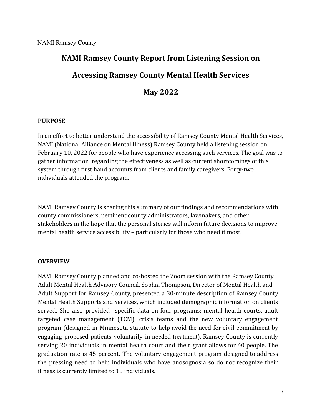# **NAMI Ramsey County Report from Listening Session on Accessing Ramsey County Mental Health Services May 2022**

#### **PURPOSE**

In an effort to better understand the accessibility of Ramsey County Mental Health Services, NAMI (National Alliance on Mental Illness) Ramsey County held a listening session on February 10, 2022 for people who have experience accessing such services. The goal was to gather information regarding the effectiveness as well as current shortcomings of this system through first hand accounts from clients and family caregivers. Forty-two individuals attended the program.

NAMI Ramsey County is sharing this summary of our findings and recommendations with county commissioners, pertinent county administrators, lawmakers, and other stakeholders in the hope that the personal stories will inform future decisions to improve mental health service accessibility – particularly for those who need it most.

#### **OVERVIEW**

NAMI Ramsey County planned and co-hosted the Zoom session with the Ramsey County Adult Mental Health Advisory Council. Sophia Thompson, Director of Mental Health and Adult Support for Ramsey County, presented a 30-minute description of Ramsey County Mental Health Supports and Services, which included demographic information on clients served. She also provided specific data on four programs: mental health courts, adult targeted case management (TCM), crisis teams and the new voluntary engagement program (designed in Minnesota statute to help avoid the need for civil commitment by engaging proposed patients voluntarily in needed treatment). Ramsey County is currently serving 20 individuals in mental health court and their grant allows for 40 people. The graduation rate is 45 percent. The voluntary engagement program designed to address the pressing need to help individuals who have anosognosia so do not recognize their illness is currently limited to 15 individuals.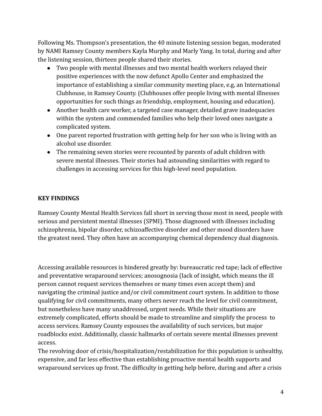Following Ms. Thompson's presentation, the 40 minute listening session began, moderated by NAMI Ramsey County members Kayla Murphy and Marly Yang. In total, during and after the listening session, thirteen people shared their stories.

- Two people with mental illnesses and two mental health workers relayed their positive experiences with the now defunct Apollo Center and emphasized the importance of establishing a similar community meeting place, e.g, an International Clubhouse, in Ramsey County. (Clubhouses offer people living with mental illnesses opportunities for such things as friendship, employment, housing and education).
- Another health care worker, a targeted case manager, detailed grave inadequacies within the system and commended families who help their loved ones navigate a complicated system.
- One parent reported frustration with getting help for her son who is living with an alcohol use disorder.
- The remaining seven stories were recounted by parents of adult children with severe mental illnesses. Their stories had astounding similarities with regard to challenges in accessing services for this high-level need population.

#### **KEY FINDINGS**

Ramsey County Mental Health Services fall short in serving those most in need, people with serious and persistent mental illnesses (SPMI). Those diagnosed with illnesses including schizophrenia, bipolar disorder, schizoaffective disorder and other mood disorders have the greatest need. They often have an accompanying chemical dependency dual diagnosis.

Accessing available resources is hindered greatly by: bureaucratic red tape; lack of effective and preventative wraparound services; anosognosia (lack of insight, which means the ill person cannot request services themselves or many times even accept them) and navigating the criminal justice and/or civil commitment court system. In addition to those qualifying for civil commitments, many others never reach the level for civil commitment, but nonetheless have many unaddressed, urgent needs. While their situations are extremely complicated, efforts should be made to streamline and simplify the process to access services. Ramsey County espouses the availability of such services, but major roadblocks exist. Additionally, classic hallmarks of certain severe mental illnesses prevent access.

The revolving door of crisis/hospitalization/restabilization for this population is unhealthy, expensive, and far less effective than establishing proactive mental health supports and wraparound services up front. The difficulty in getting help before, during and after a crisis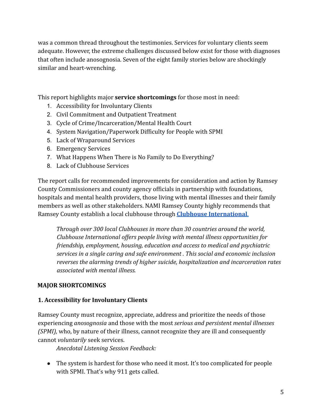was a common thread throughout the testimonies. Services for voluntary clients seem adequate. However, the extreme challenges discussed below exist for those with diagnoses that often include anosognosia. Seven of the eight family stories below are shockingly similar and heart-wrenching.

This report highlights major **service shortcomings** for those most in need:

- 1. Accessibility for Involuntary Clients
- 2. Civil Commitment and Outpatient Treatment
- 3. Cycle of Crime/Incarceration/Mental Health Court
- 4. System Navigation/Paperwork Difficulty for People with SPMI
- 5. Lack of Wraparound Services
- 6. Emergency Services
- 7. What Happens When There is No Family to Do Everything?
- 8. Lack of Clubhouse Services

The report calls for recommended improvements for consideration and action by Ramsey County Commissioners and county agency officials in partnership with foundations, hospitals and mental health providers, those living with mental illnesses and their family members as well as other stakeholders. NAMI Ramsey County highly recommends that Ramsey County establish a local clubhouse through **[Clubhouse International](https://clubhouse-intl.org/?gclid=Cj0KCQjwpImTBhCmARIsAKr58czCjILGnGWEUB4hzs8D0nVkrdUxTwz6pQsZlYMgIyh2QsO6c74f0RIaAmHTEALw_wcB)**.

*Through over 300 local Clubhouses in more than 30 countries around the world, Clubhouse International offers people living with mental illness opportunities for friendship, employment, housing, education and access to medical and psychiatric services in a single caring and safe environment . This social and economic inclusion reverses the alarming trends of higher suicide, hospitalization and incarceration rates associated with mental illness.*

#### **MAJOR SHORTCOMINGS**

#### **1. Accessibility for Involuntary Clients**

Ramsey County must recognize, appreciate, address and prioritize the needs of those experiencing *anosognosia* and those with the most *serious and persistent mental illnesses (SPMI),* who, by nature of their illness, cannot recognize they are ill and consequently cannot *voluntarily* seek services.

*Anecdotal Listening Session Feedback:*

● The system is hardest for those who need it most. It's too complicated for people with SPMI. That's why 911 gets called.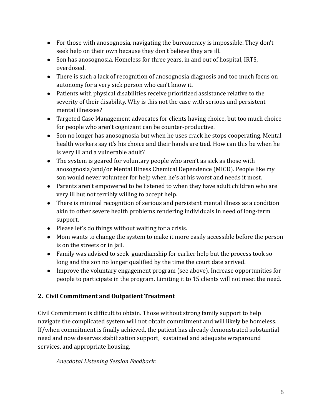- For those with anosognosia*,* navigating the bureaucracy is impossible. They don't seek help on their own because they don't believe they are ill.
- Son has anosognosia. Homeless for three years, in and out of hospital, IRTS, overdosed.
- There is such a lack of recognition of anosognosia diagnosis and too much focus on autonomy for a very sick person who can't know it.
- Patients with physical disabilities receive prioritized assistance relative to the severity of their disability. Why is this not the case with serious and persistent mental illnesses?
- Targeted Case Management advocates for clients having choice, but too much choice for people who aren't cognizant can be counter-productive.
- Son no longer has anosognosia but when he uses crack he stops cooperating. Mental health workers say it's his choice and their hands are tied. How can this be when he is very ill and a vulnerable adult?
- The system is geared for voluntary people who aren't as sick as those with anosognosia/and/or Mental Illness Chemical Dependence (MICD). People like my son would never volunteer for help when he's at his worst and needs it most.
- Parents aren't empowered to be listened to when they have adult children who are very ill but not terribly willing to accept help.
- There is minimal recognition of serious and persistent mental illness as a condition akin to other severe health problems rendering individuals in need of long-term support.
- Please let's do things without waiting for a crisis.
- Mom wants to change the system to make it more easily accessible before the person is on the streets or in jail.
- Family was advised to seek guardianship for earlier help but the process took so long and the son no longer qualified by the time the court date arrived.
- Improve the voluntary engagement program (see above). Increase opportunities for people to participate in the program. Limiting it to 15 clients will not meet the need.

# **2. Civil Commitment and Outpatient Treatment**

Civil Commitment is difficult to obtain. Those without strong family support to help navigate the complicated system will not obtain commitment and will likely be homeless. If/when commitment is finally achieved, the patient has already demonstrated substantial need and now deserves stabilization support, sustained and adequate wraparound services, and appropriate housing.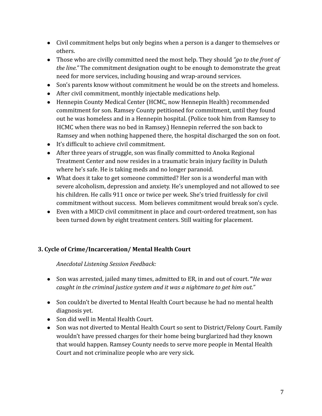- Civil commitment helps but only begins when a person is a danger to themselves or others.
- Those who are civilly committed need the most help. They should *"go to the front of the line."* The commitment designation ought to be enough to demonstrate the great need for more services, including housing and wrap-around services.
- Son's parents know without commitment he would be on the streets and homeless.
- After civil commitment, monthly injectable medications help.
- Hennepin County Medical Center (HCMC, now Hennepin Health) recommended commitment for son. Ramsey County petitioned for commitment, until they found out he was homeless and in a Hennepin hospital. (Police took him from Ramsey to HCMC when there was no bed in Ramsey.) Hennepin referred the son back to Ramsey and when nothing happened there, the hospital discharged the son on foot.
- It's difficult to achieve civil commitment.
- After three years of struggle, son was finally committed to Anoka Regional Treatment Center and now resides in a traumatic brain injury facility in Duluth where he's safe. He is taking meds and no longer paranoid.
- What does it take to get someone committed? Her son is a wonderful man with severe alcoholism, depression and anxiety. He's unemployed and not allowed to see his children. He calls 911 once or twice per week. She's tried fruitlessly for civil commitment without success. Mom believes commitment would break son's cycle.
- Even with a MICD civil commitment in place and court-ordered treatment, son has been turned down by eight treatment centers. Still waiting for placement.

# **3. Cycle of Crime/Incarceration/ Mental Health Court**

- Son was arrested, jailed many times, admitted to ER, in and out of court. **"***He was caught in the criminal justice system and it was a nightmare to get him out."*
- Son couldn't be diverted to Mental Health Court because he had no mental health diagnosis yet.
- Son did well in Mental Health Court.
- Son was not diverted to Mental Health Court so sent to District/Felony Court. Family wouldn't have pressed charges for their home being burglarized had they known that would happen. Ramsey County needs to serve more people in Mental Health Court and not criminalize people who are very sick.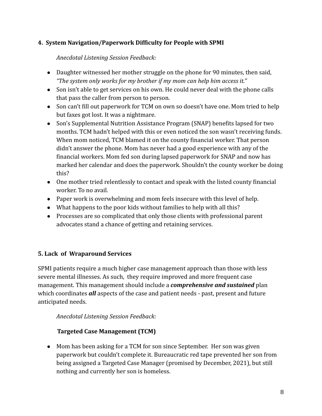## **4. System Navigation/Paperwork Difficulty for People with SPMI**

*Anecdotal Listening Session Feedback:*

- Daughter witnessed her mother struggle on the phone for 90 minutes, then said, *"The system only works for my brother if my mom can help him access it."*
- Son isn't able to get services on his own. He could never deal with the phone calls that pass the caller from person to person.
- Son can't fill out paperwork for TCM on own so doesn't have one. Mom tried to help but faxes got lost. It was a nightmare.
- Son's Supplemental Nutrition Assistance Program (SNAP) benefits lapsed for two months. TCM hadn't helped with this or even noticed the son wasn't receiving funds. When mom noticed, TCM blamed it on the county financial worker. That person didn't answer the phone. Mom has never had a good experience with any of the financial workers. Mom fed son during lapsed paperwork for SNAP and now has marked her calendar and does the paperwork. Shouldn't the county worker be doing this?
- One mother tried relentlessly to contact and speak with the listed county financial worker. To no avail.
- Paper work is overwhelming and mom feels insecure with this level of help.
- What happens to the poor kids without families to help with all this?
- Processes are so complicated that only those clients with professional parent advocates stand a chance of getting and retaining services.

# **5. Lack of Wraparound Services**

SPMI patients require a much higher case management approach than those with less severe mental illnesses. As such, they require improved and more frequent case management. This management should include a *comprehensive and sustained* plan which coordinates *all* aspects of the case and patient needs - past, present and future anticipated needs.

*Anecdotal Listening Session Feedback:*

# **Targeted Case Management (TCM)**

• Mom has been asking for a TCM for son since September. Her son was given paperwork but couldn't complete it. Bureaucratic red tape prevented her son from being assigned a Targeted Case Manager (promised by December, 2021), but still nothing and currently her son is homeless.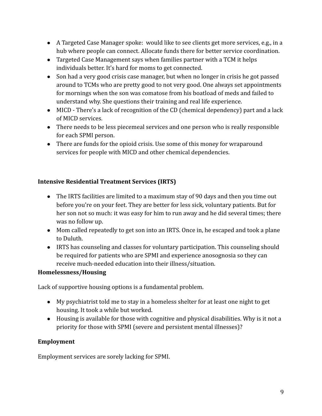- A Targeted Case Manager spoke: would like to see clients get more services, e.g., in a hub where people can connect. Allocate funds there for better service coordination.
- Targeted Case Management says when families partner with a TCM it helps individuals better. It's hard for moms to get connected.
- Son had a very good crisis case manager, but when no longer in crisis he got passed around to TCMs who are pretty good to not very good. One always set appointments for mornings when the son was comatose from his boatload of meds and failed to understand why. She questions their training and real life experience.
- MICD There's a lack of recognition of the CD (chemical dependency) part and a lack of MICD services.
- There needs to be less piecemeal services and one person who is really responsible for each SPMI person.
- There are funds for the opioid crisis. Use some of this money for wraparound services for people with MICD and other chemical dependencies.

# **Intensive Residential Treatment Services (IRTS)**

- The IRTS facilities are limited to a maximum stay of 90 days and then you time out before you're on your feet. They are better for less sick, voluntary patients. But for her son not so much: it was easy for him to run away and he did several times; there was no follow up.
- Mom called repeatedly to get son into an IRTS. Once in, he escaped and took a plane to Duluth.
- IRTS has counseling and classes for voluntary participation. This counseling should be required for patients who are SPMI and experience anosognosia so they can receive much-needed education into their illness/situation.

## **Homelessness/Housing**

Lack of supportive housing options is a fundamental problem.

- My psychiatrist told me to stay in a homeless shelter for at least one night to get housing. It took a while but worked.
- Housing is available for those with cognitive and physical disabilities. Why is it not a priority for those with SPMI (severe and persistent mental illnesses)?

# **Employment**

Employment services are sorely lacking for SPMI.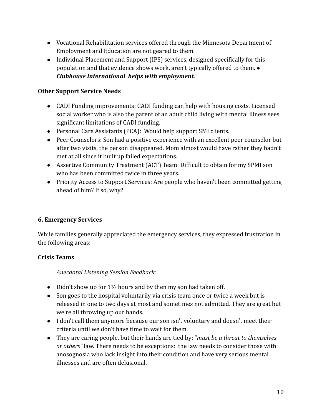- Vocational Rehabilitation services offered through the Minnesota Department of Employment and Education are not geared to them.
- Individual Placement and Support (IPS) services, designed specifically for this population and that evidence shows work, aren't typically offered to them. ● *Clubhouse International helps with employment*.

## **Other Support Service Needs**

- CADI Funding improvements: CADI funding can help with housing costs. Licensed social worker who is also the parent of an adult child living with mental illness sees significant limitations of CADI funding.
- Personal Care Assistants (PCA): Would help support SMI clients.
- Peer Counselors: Son had a positive experience with an excellent peer counselor but after two visits, the person disappeared. Mom almost would have rather they hadn't met at all since it built up failed expectations.
- Assertive Community Treatment (ACT) Team: Difficult to obtain for my SPMI son who has been committed twice in three years.
- Priority Access to Support Services: Are people who haven't been committed getting ahead of him? If so, why?

# **6. Emergency Services**

While families generally appreciated the emergency services, they expressed frustration in the following areas:

## **Crisis Teams**

- Didn't show up for  $1\frac{1}{2}$  hours and by then my son had taken off.
- Son goes to the hospital voluntarily via crisis team once or twice a week but is released in one to two days at most and sometimes not admitted. They are great but we're all throwing up our hands.
- I don't call them anymore because our son isn't voluntary and doesn't meet their criteria until we don't have time to wait for them.
- They are caring people, but their hands are tied by: "*must be a threat to themselves or others"* law. There needs to be exceptions: the law needs to consider those with anosognosia who lack insight into their condition and have very serious mental illnesses and are often delusional.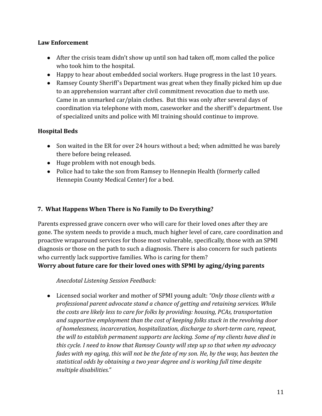## **Law Enforcement**

- After the crisis team didn't show up until son had taken off, mom called the police who took him to the hospital.
- Happy to hear about embedded social workers. Huge progress in the last 10 years.
- Ramsey County Sheriff's Department was great when they finally picked him up due to an apprehension warrant after civil commitment revocation due to meth use. Came in an unmarked car/plain clothes. But this was only after several days of coordination via telephone with mom, caseworker and the sheriff's department. Use of specialized units and police with MI training should continue to improve.

# **Hospital Beds**

- Son waited in the ER for over 24 hours without a bed; when admitted he was barely there before being released.
- Huge problem with not enough beds.
- Police had to take the son from Ramsey to Hennepin Health (formerly called Hennepin County Medical Center) for a bed.

# **7. What Happens When There is No Family to Do Everything?**

Parents expressed grave concern over who will care for their loved ones after they are gone. The system needs to provide a much, much higher level of care, care coordination and proactive wraparound services for those most vulnerable, specifically, those with an SPMI diagnosis or those on the path to such a diagnosis. There is also concern for such patients who currently lack supportive families. Who is caring for them?

**Worry about future care for their loved ones with SPMI by aging/dying parents**

*Anecdotal Listening Session Feedback:*

● Licensed social worker and mother of SPMI young adult: *"Only those clients with a professional parent advocate stand a chance of getting and retaining services. While the costs are likely less to care for folks by providing: housing, PCAs, transportation and supportive employment than the cost of keeping folks stuck in the revolving door of homelessness, incarceration, hospitalization, discharge to short-term care, repeat, the will to establish permanent supports are lacking. Some of my clients have died in this cycle. I need to know that Ramsey County will step up so that when my advocacy fades with my aging, this will not be the fate of my son. He, by the way, has beaten the statistical odds by obtaining a two year degree and is working full time despite multiple disabilities."*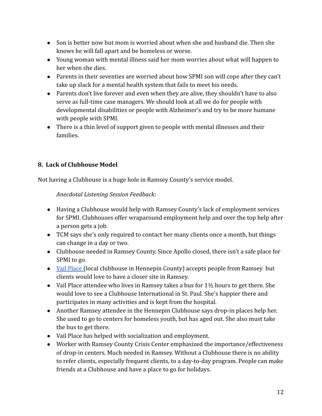- Son is better now but mom is worried about when she and husband die. Then she knows he will fall apart and be homeless or worse.
- Young woman with mental illness said her mom worries about what will happen to her when she dies.
- Parents in their seventies are worried about how SPMI son will cope after they can't take up slack for a mental health system that fails to meet his needs.
- Parents don't live forever and even when they are alive, they shouldn't have to also serve as full-time case managers. We should look at all we do for people with developmental disabilities or people with Alzheimer's and try to be more humane with people with SPMI.
- There is a thin level of support given to people with mental illnesses and their families.

# **8. Lack of Clubhouse Model**

Not having a Clubhouse is a huge hole in Ramsey County's service model.

- Having a Clubhouse would help with Ramsey County's lack of employment services for SPMI. Clubhouses offer wraparound employment help and over the top help after a person gets a job.
- TCM says she's only required to contact her many clients once a month, but things can change in a day or two.
- Clubhouse needed in Ramsey County. Since Apollo closed, there isn't a safe place for SPMI to go.
- [Vail Place](https://www.vailplace.org/) (local clubhouse in Hennepin County) accepts people from Ramsey but clients would love to have a closer site in Ramsey.
- Vail Place attendee who lives in Ramsey takes a bus for  $1\frac{1}{2}$  hours to get there. She would love to see a Clubhouse International in St. Paul. She's happier there and participates in many activities and is kept from the hospital.
- Another Ramsey attendee in the Hennepin Clubhouse says drop-in places help her. She used to go to centers for homeless youth, but has aged out. She also must take the bus to get there.
- Vail Place has helped with socialization and employment.
- Worker with Ramsey County Crisis Center emphasized the importance/effectiveness of drop-in centers. Much needed in Ramsey. Without a Clubhouse there is no ability to refer clients, especially frequent clients, to a day-to-day program. People can make friends at a Clubhouse and have a place to go for holidays.